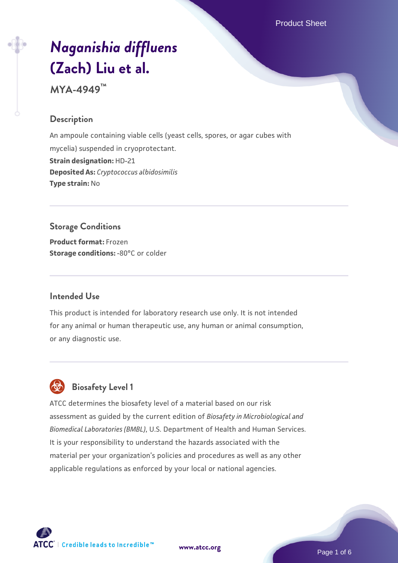Product Sheet

# *[Naganishia diffluens](https://www.atcc.org/products/mya-4949)* **[\(Zach\) Liu et al.](https://www.atcc.org/products/mya-4949)**

**MYA-4949™**

#### **Description**

An ampoule containing viable cells (yeast cells, spores, or agar cubes with mycelia) suspended in cryoprotectant. **Strain designation:** HD-21 **Deposited As:** *Cryptococcus albidosimilis* **Type strain:** No

## **Storage Conditions**

**Product format:** Frozen **Storage conditions: -80°C or colder** 

#### **Intended Use**

This product is intended for laboratory research use only. It is not intended for any animal or human therapeutic use, any human or animal consumption, or any diagnostic use.

# **Biosafety Level 1**

ATCC determines the biosafety level of a material based on our risk assessment as guided by the current edition of *Biosafety in Microbiological and Biomedical Laboratories (BMBL)*, U.S. Department of Health and Human Services. It is your responsibility to understand the hazards associated with the material per your organization's policies and procedures as well as any other applicable regulations as enforced by your local or national agencies.



**[www.atcc.org](http://www.atcc.org)**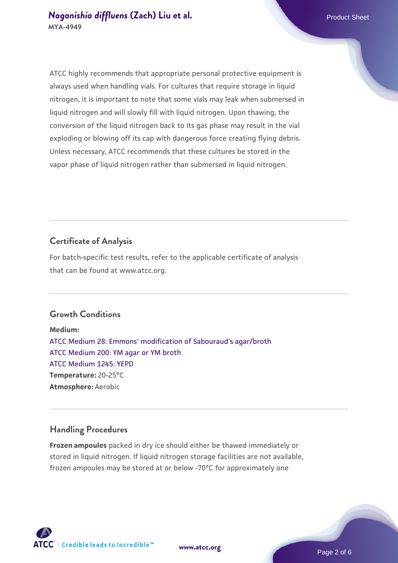ATCC highly recommends that appropriate personal protective equipment is always used when handling vials. For cultures that require storage in liquid nitrogen, it is important to note that some vials may leak when submersed in liquid nitrogen and will slowly fill with liquid nitrogen. Upon thawing, the conversion of the liquid nitrogen back to its gas phase may result in the vial exploding or blowing off its cap with dangerous force creating flying debris. Unless necessary, ATCC recommends that these cultures be stored in the vapor phase of liquid nitrogen rather than submersed in liquid nitrogen.

### **Certificate of Analysis**

For batch-specific test results, refer to the applicable certificate of analysis that can be found at www.atcc.org.

#### **Growth Conditions**

**Medium:**  [ATCC Medium 28: Emmons' modification of Sabouraud's agar/broth](https://www.atcc.org/-/media/product-assets/documents/microbial-media-formulations/2/8/atcc-medium-28.pdf?rev=0da0c58cc2a343eeae735016b70809bb) [ATCC Medium 200: YM agar or YM broth](https://www.atcc.org/-/media/product-assets/documents/microbial-media-formulations/2/0/0/atcc-medium-200.pdf?rev=ac40fd74dc13433a809367b0b9da30fc) [ATCC Medium 1245: YEPD](https://www.atcc.org/-/media/product-assets/documents/microbial-media-formulations/1/2/4/5/atcc-medium-1245.pdf?rev=705ca55d1b6f490a808a965d5c072196) **Temperature:** 20-25°C **Atmosphere:** Aerobic

#### **Handling Procedures**

**Frozen ampoules** packed in dry ice should either be thawed immediately or stored in liquid nitrogen. If liquid nitrogen storage facilities are not available, frozen ampoules may be stored at or below -70°C for approximately one





**[www.atcc.org](http://www.atcc.org)**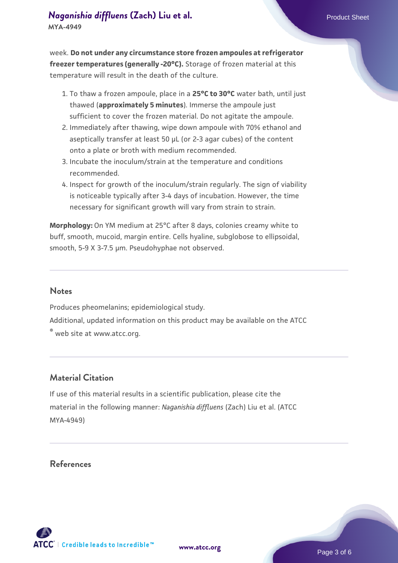week. **Do not under any circumstance store frozen ampoules at refrigerator freezer temperatures (generally -20°C).** Storage of frozen material at this temperature will result in the death of the culture.

- 1. To thaw a frozen ampoule, place in a **25°C to 30°C** water bath, until just thawed (**approximately 5 minutes**). Immerse the ampoule just sufficient to cover the frozen material. Do not agitate the ampoule.
- 2. Immediately after thawing, wipe down ampoule with 70% ethanol and aseptically transfer at least 50 µL (or 2-3 agar cubes) of the content onto a plate or broth with medium recommended.
- Incubate the inoculum/strain at the temperature and conditions 3. recommended.
- 4. Inspect for growth of the inoculum/strain regularly. The sign of viability is noticeable typically after 3-4 days of incubation. However, the time necessary for significant growth will vary from strain to strain.

**Morphology:** On YM medium at 25°C after 8 days, colonies creamy white to buff, smooth, mucoid, margin entire. Cells hyaline, subglobose to ellipsoidal, smooth, 5-9 X 3-7.5 µm. Pseudohyphae not observed.

#### **Notes**

Produces pheomelanins; epidemiological study. Additional, updated information on this product may be available on the ATCC ® web site at www.atcc.org.

#### **Material Citation**

If use of this material results in a scientific publication, please cite the material in the following manner: *Naganishia diffluens* (Zach) Liu et al. (ATCC MYA-4949)

#### **References**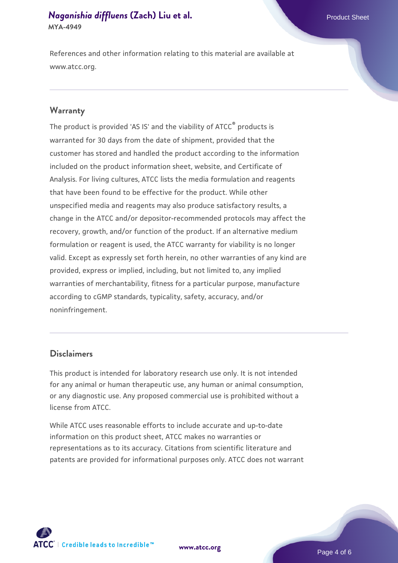References and other information relating to this material are available at www.atcc.org.

#### **Warranty**

The product is provided 'AS IS' and the viability of ATCC® products is warranted for 30 days from the date of shipment, provided that the customer has stored and handled the product according to the information included on the product information sheet, website, and Certificate of Analysis. For living cultures, ATCC lists the media formulation and reagents that have been found to be effective for the product. While other unspecified media and reagents may also produce satisfactory results, a change in the ATCC and/or depositor-recommended protocols may affect the recovery, growth, and/or function of the product. If an alternative medium formulation or reagent is used, the ATCC warranty for viability is no longer valid. Except as expressly set forth herein, no other warranties of any kind are provided, express or implied, including, but not limited to, any implied warranties of merchantability, fitness for a particular purpose, manufacture according to cGMP standards, typicality, safety, accuracy, and/or noninfringement.

#### **Disclaimers**

This product is intended for laboratory research use only. It is not intended for any animal or human therapeutic use, any human or animal consumption, or any diagnostic use. Any proposed commercial use is prohibited without a license from ATCC.

While ATCC uses reasonable efforts to include accurate and up-to-date information on this product sheet, ATCC makes no warranties or representations as to its accuracy. Citations from scientific literature and patents are provided for informational purposes only. ATCC does not warrant





Page 4 of 6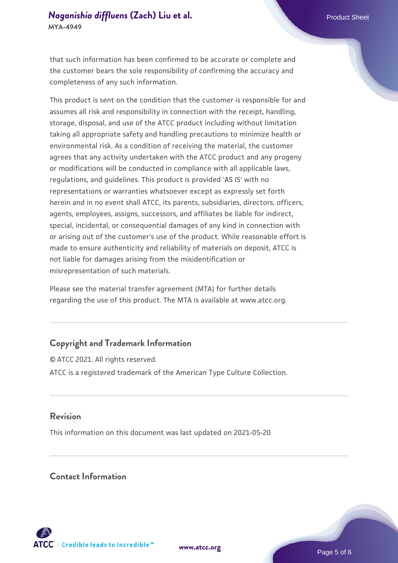that such information has been confirmed to be accurate or complete and the customer bears the sole responsibility of confirming the accuracy and completeness of any such information.

This product is sent on the condition that the customer is responsible for and assumes all risk and responsibility in connection with the receipt, handling, storage, disposal, and use of the ATCC product including without limitation taking all appropriate safety and handling precautions to minimize health or environmental risk. As a condition of receiving the material, the customer agrees that any activity undertaken with the ATCC product and any progeny or modifications will be conducted in compliance with all applicable laws, regulations, and guidelines. This product is provided 'AS IS' with no representations or warranties whatsoever except as expressly set forth herein and in no event shall ATCC, its parents, subsidiaries, directors, officers, agents, employees, assigns, successors, and affiliates be liable for indirect, special, incidental, or consequential damages of any kind in connection with or arising out of the customer's use of the product. While reasonable effort is made to ensure authenticity and reliability of materials on deposit, ATCC is not liable for damages arising from the misidentification or misrepresentation of such materials.

Please see the material transfer agreement (MTA) for further details regarding the use of this product. The MTA is available at www.atcc.org.

#### **Copyright and Trademark Information**

© ATCC 2021. All rights reserved. ATCC is a registered trademark of the American Type Culture Collection.

#### **Revision**

This information on this document was last updated on 2021-05-20

#### **Contact Information**



**[www.atcc.org](http://www.atcc.org)**

Page 5 of 6